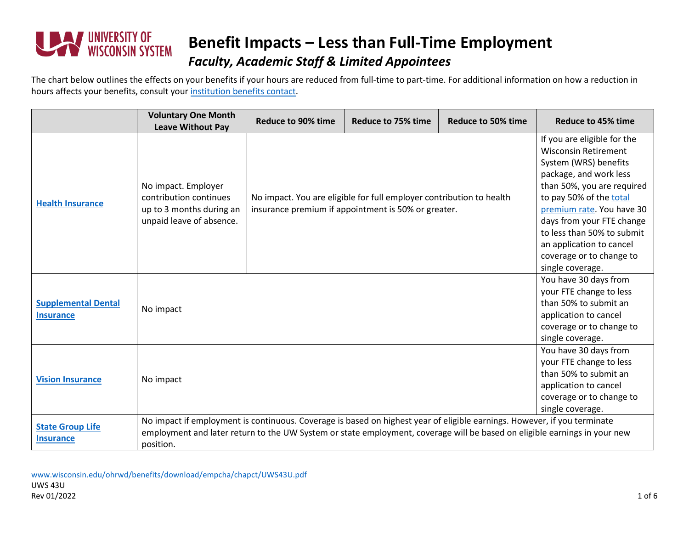

#### **Benefit Impacts – Less than Full-Time Employment** *Faculty, Academic Staff & Limited Appointees*

The chart below outlines the effects on your benefits if your hours are reduced from full-time to part-time. For additional information on how a reduction in hours affects your benefits, consult your [institution benefits contact.](https://www.wisconsin.edu/ohrwd/benefits/contact/)

|                                                | <b>Voluntary One Month</b><br><b>Leave Without Pay</b>                                                                                                                                                                                                             | <b>Reduce to 90% time</b>                                                                                                   | <b>Reduce to 75% time</b> | Reduce to 50% time | <b>Reduce to 45% time</b>                                                                                                                                                                                                                                                                                                                  |
|------------------------------------------------|--------------------------------------------------------------------------------------------------------------------------------------------------------------------------------------------------------------------------------------------------------------------|-----------------------------------------------------------------------------------------------------------------------------|---------------------------|--------------------|--------------------------------------------------------------------------------------------------------------------------------------------------------------------------------------------------------------------------------------------------------------------------------------------------------------------------------------------|
| <b>Health Insurance</b>                        | No impact. Employer<br>contribution continues<br>up to 3 months during an<br>unpaid leave of absence.                                                                                                                                                              | No impact. You are eligible for full employer contribution to health<br>insurance premium if appointment is 50% or greater. |                           |                    | If you are eligible for the<br><b>Wisconsin Retirement</b><br>System (WRS) benefits<br>package, and work less<br>than 50%, you are required<br>to pay 50% of the total<br>premium rate. You have 30<br>days from your FTE change<br>to less than 50% to submit<br>an application to cancel<br>coverage or to change to<br>single coverage. |
| <b>Supplemental Dental</b><br><b>Insurance</b> | No impact                                                                                                                                                                                                                                                          |                                                                                                                             |                           |                    | You have 30 days from<br>your FTE change to less<br>than 50% to submit an<br>application to cancel<br>coverage or to change to<br>single coverage.                                                                                                                                                                                         |
| <b>Vision Insurance</b>                        | No impact                                                                                                                                                                                                                                                          |                                                                                                                             |                           |                    | You have 30 days from<br>your FTE change to less<br>than 50% to submit an<br>application to cancel<br>coverage or to change to<br>single coverage.                                                                                                                                                                                         |
| <b>State Group Life</b><br><b>Insurance</b>    | No impact if employment is continuous. Coverage is based on highest year of eligible earnings. However, if you terminate<br>employment and later return to the UW System or state employment, coverage will be based on eligible earnings in your new<br>position. |                                                                                                                             |                           |                    |                                                                                                                                                                                                                                                                                                                                            |

[www.wisconsin.edu/ohrwd/benefits/download/empcha/chapct/UWS43U.pdf](http://www.wisconsin.edu/ohrwd/benefits/download/empcha/chapct/UWS43U.pdf) UWS 43U Rev 01/2022 1 of 6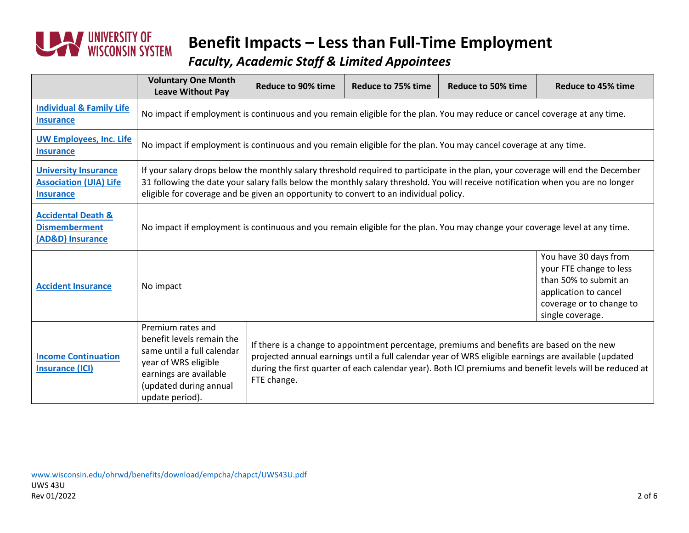

*Faculty, Academic Staff & Limited Appointees*

|                                                                                  | <b>Voluntary One Month</b><br><b>Leave Without Pay</b>                                                                                                                                                                                                                                                                                                        | <b>Reduce to 90% time</b> | <b>Reduce to 75% time</b>                                                                                                                                                                                                                                                                                      | <b>Reduce to 50% time</b> | <b>Reduce to 45% time</b>                                                                                                                          |  |  |
|----------------------------------------------------------------------------------|---------------------------------------------------------------------------------------------------------------------------------------------------------------------------------------------------------------------------------------------------------------------------------------------------------------------------------------------------------------|---------------------------|----------------------------------------------------------------------------------------------------------------------------------------------------------------------------------------------------------------------------------------------------------------------------------------------------------------|---------------------------|----------------------------------------------------------------------------------------------------------------------------------------------------|--|--|
| <b>Individual &amp; Family Life</b><br><b>Insurance</b>                          | No impact if employment is continuous and you remain eligible for the plan. You may reduce or cancel coverage at any time.                                                                                                                                                                                                                                    |                           |                                                                                                                                                                                                                                                                                                                |                           |                                                                                                                                                    |  |  |
| <b>UW Employees, Inc. Life</b><br><b>Insurance</b>                               | No impact if employment is continuous and you remain eligible for the plan. You may cancel coverage at any time.                                                                                                                                                                                                                                              |                           |                                                                                                                                                                                                                                                                                                                |                           |                                                                                                                                                    |  |  |
| <b>University Insurance</b><br><b>Association (UIA) Life</b><br><b>Insurance</b> | If your salary drops below the monthly salary threshold required to participate in the plan, your coverage will end the December<br>31 following the date your salary falls below the monthly salary threshold. You will receive notification when you are no longer<br>eligible for coverage and be given an opportunity to convert to an individual policy. |                           |                                                                                                                                                                                                                                                                                                                |                           |                                                                                                                                                    |  |  |
| <b>Accidental Death &amp;</b><br><b>Dismemberment</b><br>(AD&D) Insurance        | No impact if employment is continuous and you remain eligible for the plan. You may change your coverage level at any time.                                                                                                                                                                                                                                   |                           |                                                                                                                                                                                                                                                                                                                |                           |                                                                                                                                                    |  |  |
| <b>Accident Insurance</b>                                                        | No impact                                                                                                                                                                                                                                                                                                                                                     |                           |                                                                                                                                                                                                                                                                                                                |                           | You have 30 days from<br>your FTE change to less<br>than 50% to submit an<br>application to cancel<br>coverage or to change to<br>single coverage. |  |  |
| <b>Income Continuation</b><br><b>Insurance (ICI)</b>                             | Premium rates and<br>benefit levels remain the<br>same until a full calendar<br>year of WRS eligible<br>earnings are available<br>(updated during annual<br>update period).                                                                                                                                                                                   | FTE change.               | If there is a change to appointment percentage, premiums and benefits are based on the new<br>projected annual earnings until a full calendar year of WRS eligible earnings are available (updated<br>during the first quarter of each calendar year). Both ICI premiums and benefit levels will be reduced at |                           |                                                                                                                                                    |  |  |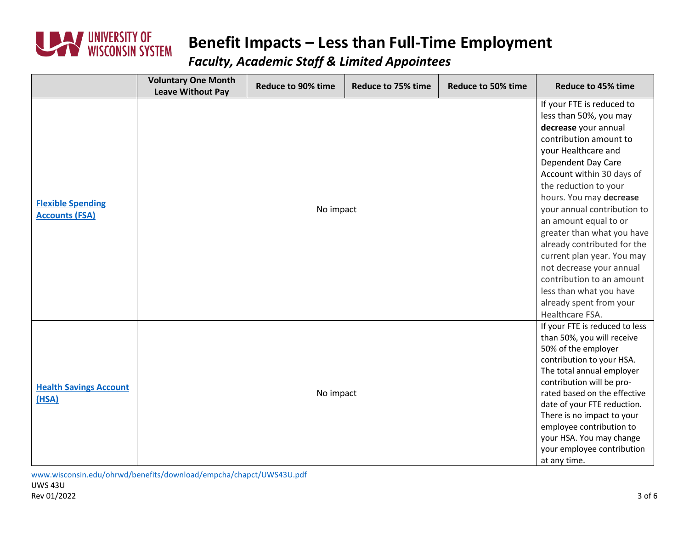

#### *Faculty, Academic Staff & Limited Appointees*

|                                                   | <b>Voluntary One Month</b><br><b>Leave Without Pay</b> | <b>Reduce to 90% time</b> | <b>Reduce to 75% time</b> | <b>Reduce to 50% time</b> | <b>Reduce to 45% time</b>                                                                                                                                                                                                                                                                                                                                                                                                                                                                                                |
|---------------------------------------------------|--------------------------------------------------------|---------------------------|---------------------------|---------------------------|--------------------------------------------------------------------------------------------------------------------------------------------------------------------------------------------------------------------------------------------------------------------------------------------------------------------------------------------------------------------------------------------------------------------------------------------------------------------------------------------------------------------------|
| <b>Flexible Spending</b><br><b>Accounts (FSA)</b> |                                                        | No impact                 |                           |                           | If your FTE is reduced to<br>less than 50%, you may<br>decrease your annual<br>contribution amount to<br>your Healthcare and<br>Dependent Day Care<br>Account within 30 days of<br>the reduction to your<br>hours. You may decrease<br>your annual contribution to<br>an amount equal to or<br>greater than what you have<br>already contributed for the<br>current plan year. You may<br>not decrease your annual<br>contribution to an amount<br>less than what you have<br>already spent from your<br>Healthcare FSA. |
| <b>Health Savings Account</b><br>(HSA)            |                                                        | No impact                 |                           |                           | If your FTE is reduced to less<br>than 50%, you will receive<br>50% of the employer<br>contribution to your HSA.<br>The total annual employer<br>contribution will be pro-<br>rated based on the effective<br>date of your FTE reduction.<br>There is no impact to your<br>employee contribution to<br>your HSA. You may change<br>your employee contribution<br>at any time.                                                                                                                                            |

[www.wisconsin.edu/ohrwd/benefits/download/empcha/chapct/UWS43U.pdf](http://www.wisconsin.edu/ohrwd/benefits/download/empcha/chapct/UWS43U.pdf)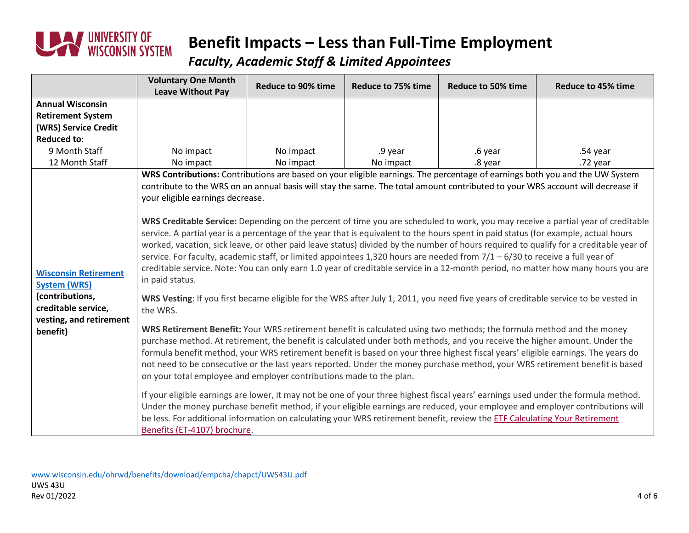

*Faculty, Academic Staff & Limited Appointees*

|                                                     | <b>Voluntary One Month</b>                                                                                                                                                                                                                                       | <b>Reduce to 90% time</b> | Reduce to 75% time | <b>Reduce to 50% time</b> | Reduce to 45% time                                                                                                                    |  |  |
|-----------------------------------------------------|------------------------------------------------------------------------------------------------------------------------------------------------------------------------------------------------------------------------------------------------------------------|---------------------------|--------------------|---------------------------|---------------------------------------------------------------------------------------------------------------------------------------|--|--|
|                                                     | <b>Leave Without Pay</b>                                                                                                                                                                                                                                         |                           |                    |                           |                                                                                                                                       |  |  |
| <b>Annual Wisconsin</b><br><b>Retirement System</b> |                                                                                                                                                                                                                                                                  |                           |                    |                           |                                                                                                                                       |  |  |
| (WRS) Service Credit                                |                                                                                                                                                                                                                                                                  |                           |                    |                           |                                                                                                                                       |  |  |
| <b>Reduced to:</b>                                  |                                                                                                                                                                                                                                                                  |                           |                    |                           |                                                                                                                                       |  |  |
| 9 Month Staff                                       | No impact                                                                                                                                                                                                                                                        | No impact                 | .9 year            | .6 year                   | .54 year                                                                                                                              |  |  |
| 12 Month Staff                                      | No impact                                                                                                                                                                                                                                                        | No impact                 | No impact          | .8 year                   | .72 year                                                                                                                              |  |  |
|                                                     | WRS Contributions: Contributions are based on your eligible earnings. The percentage of earnings both you and the UW System                                                                                                                                      |                           |                    |                           |                                                                                                                                       |  |  |
|                                                     | contribute to the WRS on an annual basis will stay the same. The total amount contributed to your WRS account will decrease if                                                                                                                                   |                           |                    |                           |                                                                                                                                       |  |  |
|                                                     | your eligible earnings decrease.                                                                                                                                                                                                                                 |                           |                    |                           |                                                                                                                                       |  |  |
|                                                     |                                                                                                                                                                                                                                                                  |                           |                    |                           |                                                                                                                                       |  |  |
|                                                     | WRS Creditable Service: Depending on the percent of time you are scheduled to work, you may receive a partial year of creditable                                                                                                                                 |                           |                    |                           |                                                                                                                                       |  |  |
|                                                     | service. A partial year is a percentage of the year that is equivalent to the hours spent in paid status (for example, actual hours                                                                                                                              |                           |                    |                           |                                                                                                                                       |  |  |
|                                                     |                                                                                                                                                                                                                                                                  |                           |                    |                           | worked, vacation, sick leave, or other paid leave status) divided by the number of hours required to qualify for a creditable year of |  |  |
|                                                     | service. For faculty, academic staff, or limited appointees 1,320 hours are needed from $7/1 - 6/30$ to receive a full year of                                                                                                                                   |                           |                    |                           |                                                                                                                                       |  |  |
| <b>Wisconsin Retirement</b>                         | creditable service. Note: You can only earn 1.0 year of creditable service in a 12-month period, no matter how many hours you are                                                                                                                                |                           |                    |                           |                                                                                                                                       |  |  |
| <b>System (WRS)</b>                                 | in paid status.                                                                                                                                                                                                                                                  |                           |                    |                           |                                                                                                                                       |  |  |
| (contributions,                                     | WRS Vesting: If you first became eligible for the WRS after July 1, 2011, you need five years of creditable service to be vested in                                                                                                                              |                           |                    |                           |                                                                                                                                       |  |  |
| creditable service,                                 | the WRS.                                                                                                                                                                                                                                                         |                           |                    |                           |                                                                                                                                       |  |  |
| vesting, and retirement                             |                                                                                                                                                                                                                                                                  |                           |                    |                           |                                                                                                                                       |  |  |
| benefit)                                            | WRS Retirement Benefit: Your WRS retirement benefit is calculated using two methods; the formula method and the money                                                                                                                                            |                           |                    |                           |                                                                                                                                       |  |  |
|                                                     | purchase method. At retirement, the benefit is calculated under both methods, and you receive the higher amount. Under the                                                                                                                                       |                           |                    |                           |                                                                                                                                       |  |  |
|                                                     | formula benefit method, your WRS retirement benefit is based on your three highest fiscal years' eligible earnings. The years do<br>not need to be consecutive or the last years reported. Under the money purchase method, your WRS retirement benefit is based |                           |                    |                           |                                                                                                                                       |  |  |
|                                                     |                                                                                                                                                                                                                                                                  |                           |                    |                           |                                                                                                                                       |  |  |
|                                                     | on your total employee and employer contributions made to the plan.                                                                                                                                                                                              |                           |                    |                           |                                                                                                                                       |  |  |
|                                                     | If your eligible earnings are lower, it may not be one of your three highest fiscal years' earnings used under the formula method.                                                                                                                               |                           |                    |                           |                                                                                                                                       |  |  |
|                                                     | Under the money purchase benefit method, if your eligible earnings are reduced, your employee and employer contributions will                                                                                                                                    |                           |                    |                           |                                                                                                                                       |  |  |
|                                                     | be less. For additional information on calculating your WRS retirement benefit, review the ETF Calculating Your Retirement                                                                                                                                       |                           |                    |                           |                                                                                                                                       |  |  |
|                                                     | Benefits (ET-4107) brochure.                                                                                                                                                                                                                                     |                           |                    |                           |                                                                                                                                       |  |  |

[www.wisconsin.edu/ohrwd/benefits/download/empcha/chapct/UWS43U.pdf](http://www.wisconsin.edu/ohrwd/benefits/download/empcha/chapct/UWS43U.pdf) UWS 43U Rev 01/2022 4 of 6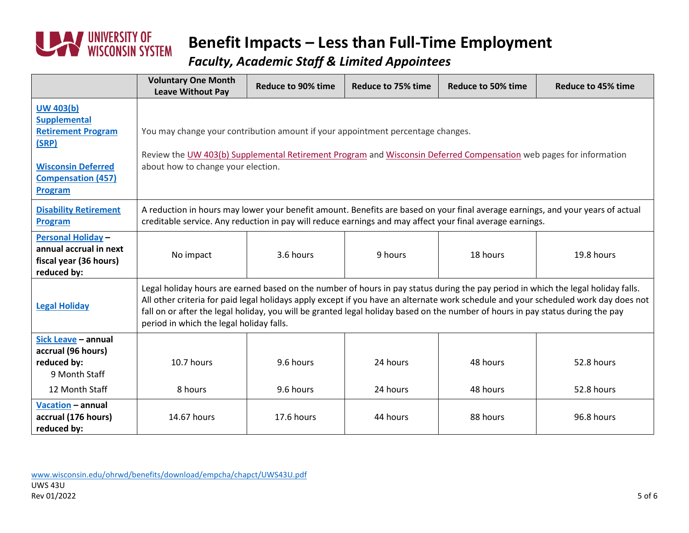

*Faculty, Academic Staff & Limited Appointees*

|                                                                                                                                                    | <b>Voluntary One Month</b><br><b>Leave Without Pay</b>                                                                                                                                                                                                                                                                                                                                                                                                  | <b>Reduce to 90% time</b> | <b>Reduce to 75% time</b> | <b>Reduce to 50% time</b> | <b>Reduce to 45% time</b> |  |
|----------------------------------------------------------------------------------------------------------------------------------------------------|---------------------------------------------------------------------------------------------------------------------------------------------------------------------------------------------------------------------------------------------------------------------------------------------------------------------------------------------------------------------------------------------------------------------------------------------------------|---------------------------|---------------------------|---------------------------|---------------------------|--|
| <b>UW 403(b)</b><br><b>Supplemental</b><br><b>Retirement Program</b><br>(SRP)<br><b>Wisconsin Deferred</b><br><b>Compensation (457)</b><br>Program | You may change your contribution amount if your appointment percentage changes.<br>Review the UW 403(b) Supplemental Retirement Program and Wisconsin Deferred Compensation web pages for information<br>about how to change your election.                                                                                                                                                                                                             |                           |                           |                           |                           |  |
| <b>Disability Retirement</b><br>Program                                                                                                            | A reduction in hours may lower your benefit amount. Benefits are based on your final average earnings, and your years of actual<br>creditable service. Any reduction in pay will reduce earnings and may affect your final average earnings.                                                                                                                                                                                                            |                           |                           |                           |                           |  |
| <b>Personal Holiday -</b><br>annual accrual in next<br>fiscal year (36 hours)<br>reduced by:                                                       | No impact                                                                                                                                                                                                                                                                                                                                                                                                                                               | 3.6 hours                 | 9 hours                   | 18 hours                  | 19.8 hours                |  |
| <b>Legal Holiday</b>                                                                                                                               | Legal holiday hours are earned based on the number of hours in pay status during the pay period in which the legal holiday falls.<br>All other criteria for paid legal holidays apply except if you have an alternate work schedule and your scheduled work day does not<br>fall on or after the legal holiday, you will be granted legal holiday based on the number of hours in pay status during the pay<br>period in which the legal holiday falls. |                           |                           |                           |                           |  |
| Sick Leave - annual<br>accrual (96 hours)<br>reduced by:<br>9 Month Staff<br>12 Month Staff                                                        | 10.7 hours<br>8 hours                                                                                                                                                                                                                                                                                                                                                                                                                                   | 9.6 hours<br>9.6 hours    | 24 hours<br>24 hours      | 48 hours<br>48 hours      | 52.8 hours<br>52.8 hours  |  |
| Vacation - annual<br>accrual (176 hours)<br>reduced by:                                                                                            | 14.67 hours                                                                                                                                                                                                                                                                                                                                                                                                                                             | 17.6 hours                | 44 hours                  | 88 hours                  | 96.8 hours                |  |